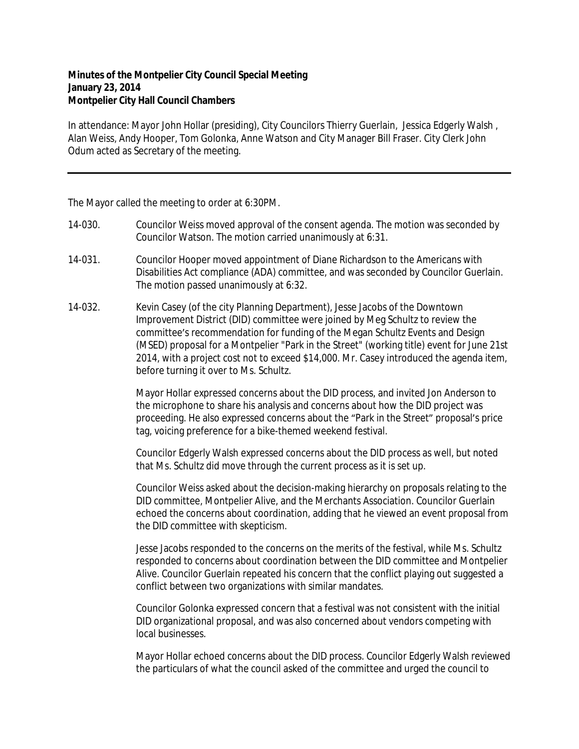## **Minutes of the Montpelier City Council Special Meeting January 23, 2014 Montpelier City Hall Council Chambers**

In attendance: Mayor John Hollar (presiding), City Councilors Thierry Guerlain, Jessica Edgerly Walsh , Alan Weiss, Andy Hooper, Tom Golonka, Anne Watson and City Manager Bill Fraser. City Clerk John Odum acted as Secretary of the meeting.

The Mayor called the meeting to order at 6:30PM.

- 14-030. Councilor Weiss moved approval of the consent agenda. The motion was seconded by Councilor Watson. The motion carried unanimously at 6:31.
- 14-031. Councilor Hooper moved appointment of Diane Richardson to the Americans with Disabilities Act compliance (ADA) committee, and was seconded by Councilor Guerlain. The motion passed unanimously at 6:32.
- 14-032. Kevin Casey (of the city Planning Department), Jesse Jacobs of the Downtown Improvement District (DID) committee were joined by Meg Schultz to review the committee's recommendation for funding of the Megan Schultz Events and Design (MSED) proposal for a Montpelier "Park in the Street" (working title) event for June 21st 2014, with a project cost not to exceed \$14,000. Mr. Casey introduced the agenda item, before turning it over to Ms. Schultz.

Mayor Hollar expressed concerns about the DID process, and invited Jon Anderson to the microphone to share his analysis and concerns about how the DID project was proceeding. He also expressed concerns about the "Park in the Street" proposal's price tag, voicing preference for a bike-themed weekend festival.

Councilor Edgerly Walsh expressed concerns about the DID process as well, but noted that Ms. Schultz did move through the current process as it is set up.

Councilor Weiss asked about the decision-making hierarchy on proposals relating to the DID committee, Montpelier Alive, and the Merchants Association. Councilor Guerlain echoed the concerns about coordination, adding that he viewed an event proposal from the DID committee with skepticism.

Jesse Jacobs responded to the concerns on the merits of the festival, while Ms. Schultz responded to concerns about coordination between the DID committee and Montpelier Alive. Councilor Guerlain repeated his concern that the conflict playing out suggested a conflict between two organizations with similar mandates.

Councilor Golonka expressed concern that a festival was not consistent with the initial DID organizational proposal, and was also concerned about vendors competing with local businesses.

Mayor Hollar echoed concerns about the DID process. Councilor Edgerly Walsh reviewed the particulars of what the council asked of the committee and urged the council to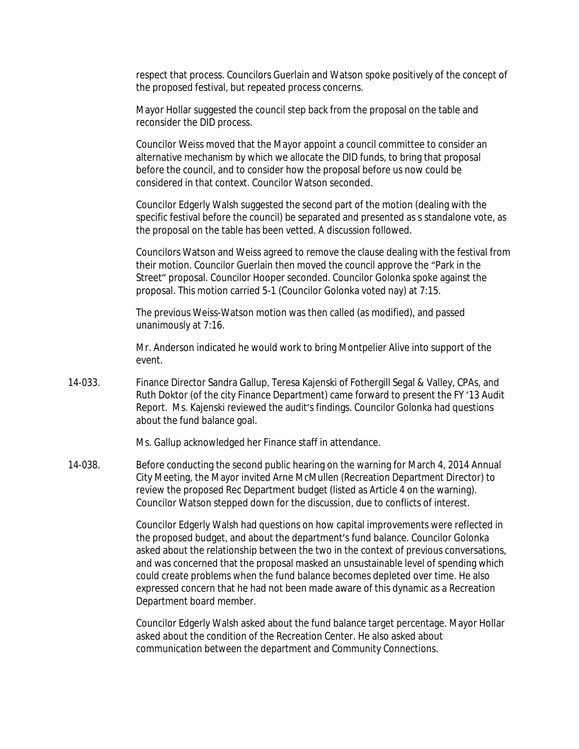respect that process. Councilors Guerlain and Watson spoke positively of the concept of the proposed festival, but repeated process concerns.

Mayor Hollar suggested the council step back from the proposal on the table and reconsider the DID process.

Councilor Weiss moved that the Mayor appoint a council committee to consider an alternative mechanism by which we allocate the DID funds, to bring that proposal before the council, and to consider how the proposal before us now could be considered in that context. Councilor Watson seconded.

Councilor Edgerly Walsh suggested the second part of the motion (dealing with the specific festival before the council) be separated and presented as s standalone vote, as the proposal on the table has been vetted. A discussion followed.

Councilors Watson and Weiss agreed to remove the clause dealing with the festival from their motion. Councilor Guerlain then moved the council approve the "Park in the Street" proposal. Councilor Hooper seconded. Councilor Golonka spoke against the proposal. This motion carried 5-1 (Councilor Golonka voted nay) at 7:15.

The previous Weiss-Watson motion was then called (as modified), and passed unanimously at 7:16.

Mr. Anderson indicated he would work to bring Montpelier Alive into support of the event.

14-033. Finance Director Sandra Gallup, Teresa Kajenski of Fothergill Segal & Valley, CPAs, and Ruth Doktor (of the city Finance Department) came forward to present the FY '13 Audit Report. Ms. Kajenski reviewed the audit's findings. Councilor Golonka had questions about the fund balance goal.

Ms. Gallup acknowledged her Finance staff in attendance.

14-038. Before conducting the second public hearing on the warning for March 4, 2014 Annual City Meeting, the Mayor invited Arne McMullen (Recreation Department Director) to review the proposed Rec Department budget (listed as Article 4 on the warning). Councilor Watson stepped down for the discussion, due to conflicts of interest.

> Councilor Edgerly Walsh had questions on how capital improvements were reflected in the proposed budget, and about the department's fund balance. Councilor Golonka asked about the relationship between the two in the context of previous conversations, and was concerned that the proposal masked an unsustainable level of spending which could create problems when the fund balance becomes depleted over time. He also expressed concern that he had not been made aware of this dynamic as a Recreation Department board member.

> Councilor Edgerly Walsh asked about the fund balance target percentage. Mayor Hollar asked about the condition of the Recreation Center. He also asked about communication between the department and Community Connections.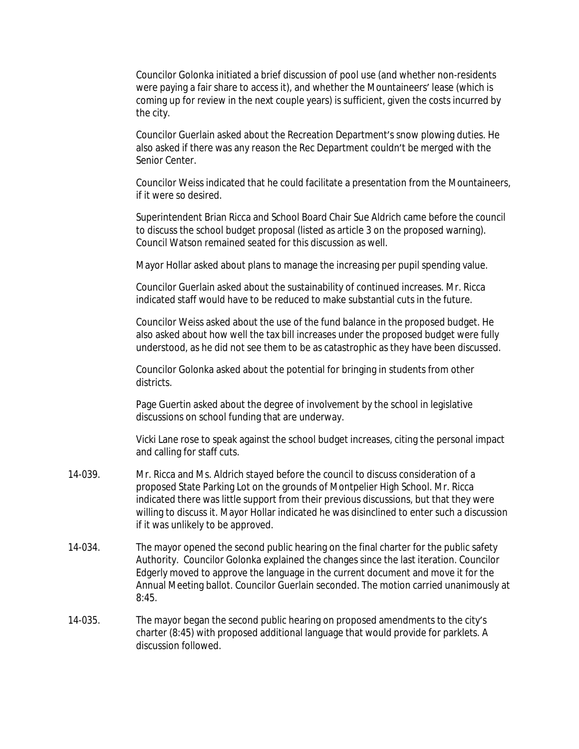Councilor Golonka initiated a brief discussion of pool use (and whether non-residents were paying a fair share to access it), and whether the Mountaineers' lease (which is coming up for review in the next couple years) is sufficient, given the costs incurred by the city.

Councilor Guerlain asked about the Recreation Department's snow plowing duties. He also asked if there was any reason the Rec Department couldn't be merged with the Senior Center.

Councilor Weiss indicated that he could facilitate a presentation from the Mountaineers, if it were so desired.

Superintendent Brian Ricca and School Board Chair Sue Aldrich came before the council to discuss the school budget proposal (listed as article 3 on the proposed warning). Council Watson remained seated for this discussion as well.

Mayor Hollar asked about plans to manage the increasing per pupil spending value.

Councilor Guerlain asked about the sustainability of continued increases. Mr. Ricca indicated staff would have to be reduced to make substantial cuts in the future.

Councilor Weiss asked about the use of the fund balance in the proposed budget. He also asked about how well the tax bill increases under the proposed budget were fully understood, as he did not see them to be as catastrophic as they have been discussed.

Councilor Golonka asked about the potential for bringing in students from other districts.

Page Guertin asked about the degree of involvement by the school in legislative discussions on school funding that are underway.

Vicki Lane rose to speak against the school budget increases, citing the personal impact and calling for staff cuts.

- 14-039. Mr. Ricca and Ms. Aldrich stayed before the council to discuss consideration of a proposed State Parking Lot on the grounds of Montpelier High School. Mr. Ricca indicated there was little support from their previous discussions, but that they were willing to discuss it. Mayor Hollar indicated he was disinclined to enter such a discussion if it was unlikely to be approved.
- 14-034. The mayor opened the second public hearing on the final charter for the public safety Authority. Councilor Golonka explained the changes since the last iteration. Councilor Edgerly moved to approve the language in the current document and move it for the Annual Meeting ballot. Councilor Guerlain seconded. The motion carried unanimously at 8:45.
- 14-035. The mayor began the second public hearing on proposed amendments to the city's charter (8:45) with proposed additional language that would provide for parklets. A discussion followed.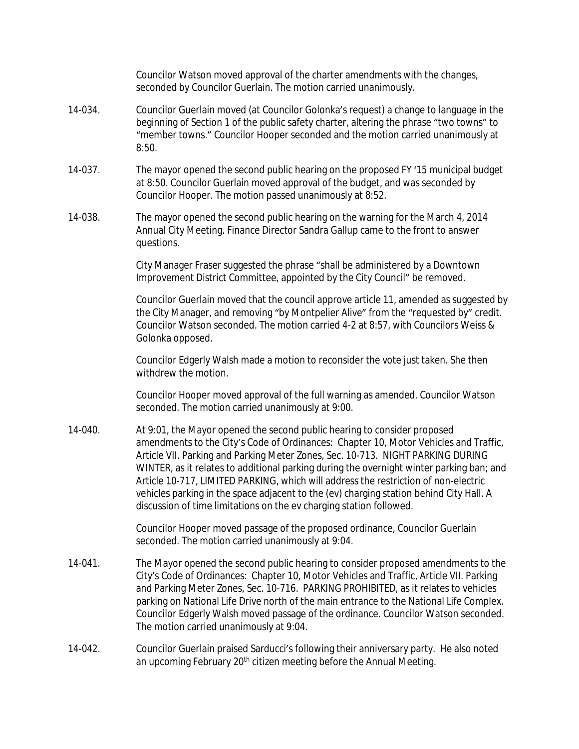Councilor Watson moved approval of the charter amendments with the changes, seconded by Councilor Guerlain. The motion carried unanimously.

- 14-034. Councilor Guerlain moved (at Councilor Golonka's request) a change to language in the beginning of Section 1 of the public safety charter, altering the phrase "two towns" to "member towns." Councilor Hooper seconded and the motion carried unanimously at 8:50.
- 14-037. The mayor opened the second public hearing on the proposed FY '15 municipal budget at 8:50. Councilor Guerlain moved approval of the budget, and was seconded by Councilor Hooper. The motion passed unanimously at 8:52.
- 14-038. The mayor opened the second public hearing on the warning for the March 4, 2014 Annual City Meeting. Finance Director Sandra Gallup came to the front to answer questions.

City Manager Fraser suggested the phrase "shall be administered by a Downtown Improvement District Committee, appointed by the City Council" be removed.

Councilor Guerlain moved that the council approve article 11, amended as suggested by the City Manager, and removing "by Montpelier Alive" from the "requested by" credit. Councilor Watson seconded. The motion carried 4-2 at 8:57, with Councilors Weiss & Golonka opposed.

Councilor Edgerly Walsh made a motion to reconsider the vote just taken. She then withdrew the motion.

Councilor Hooper moved approval of the full warning as amended. Councilor Watson seconded. The motion carried unanimously at 9:00.

14-040. At 9:01, the Mayor opened the second public hearing to consider proposed amendments to the City's Code of Ordinances: Chapter 10, Motor Vehicles and Traffic, Article VII. Parking and Parking Meter Zones, Sec. 10-713. NIGHT PARKING DURING WINTER, as it relates to additional parking during the overnight winter parking ban; and Article 10-717, LIMITED PARKING, which will address the restriction of non-electric vehicles parking in the space adjacent to the (ev) charging station behind City Hall. A discussion of time limitations on the ev charging station followed.

> Councilor Hooper moved passage of the proposed ordinance, Councilor Guerlain seconded. The motion carried unanimously at 9:04.

- 14-041. The Mayor opened the second public hearing to consider proposed amendments to the City's Code of Ordinances: Chapter 10, Motor Vehicles and Traffic, Article VII. Parking and Parking Meter Zones, Sec. 10-716. PARKING PROHIBITED, as it relates to vehicles parking on National Life Drive north of the main entrance to the National Life Complex. Councilor Edgerly Walsh moved passage of the ordinance. Councilor Watson seconded. The motion carried unanimously at 9:04.
- 14-042. Councilor Guerlain praised Sarducci's following their anniversary party. He also noted an upcoming February 20<sup>th</sup> citizen meeting before the Annual Meeting.